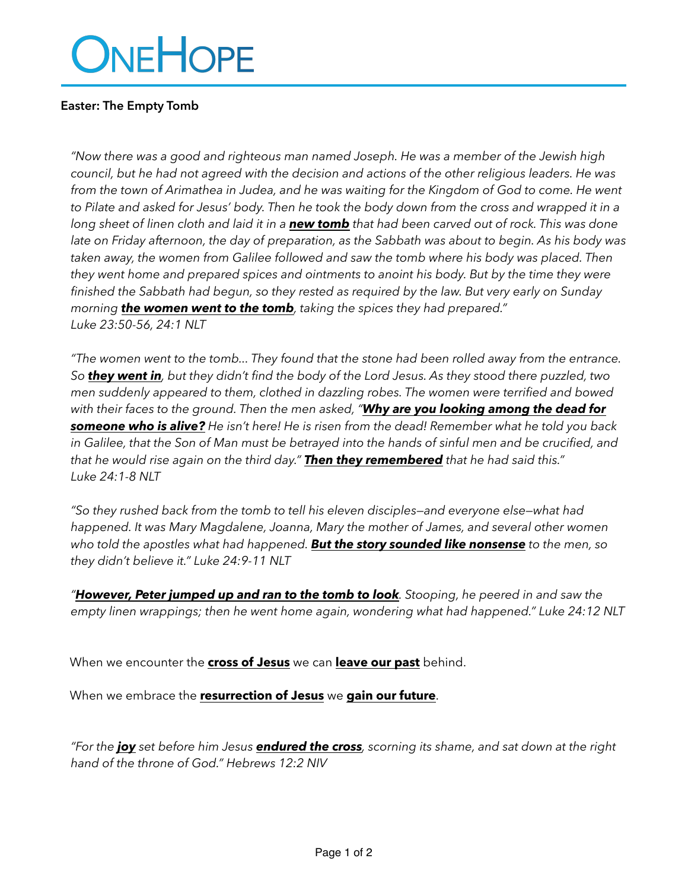# ONEHOPE

## **Easter: The Empty Tomb**

*"Now there was a good and righteous man named Joseph. He was a member of the Jewish high council, but he had not agreed with the decision and actions of the other religious leaders. He was*  from the town of Arimathea in Judea, and he was waiting for the Kingdom of God to come. He went to Pilate and asked for Jesus' body. Then he took the body down from the cross and wrapped it in a *long sheet of linen cloth and laid it in a new tomb that had been carved out of rock. This was done late on Friday afternoon, the day of preparation, as the Sabbath was about to begin. As his body was*  taken away, the women from Galilee followed and saw the tomb where his body was placed. Then *they went home and prepared spices and ointments to anoint his body. But by the time they were finished the Sabbath had begun, so they rested as required by the law. But very early on Sunday morning the women went to the tomb, taking the spices they had prepared." Luke 23:50-56, 24:1 NLT*

*"The women went to the tomb... They found that the stone had been rolled away from the entrance. So they went in, but they didn't find the body of the Lord Jesus. As they stood there puzzled, two men suddenly appeared to them, clothed in dazzling robes. The women were terrified and bowed with their faces to the ground. Then the men asked, "Why are you looking among the dead for someone who is alive? He isn't here! He is risen from the dead! Remember what he told you back*  in Galilee, that the Son of Man must be betrayed into the hands of sinful men and be crucified, and *that he would rise again on the third day." Then they remembered that he had said this." Luke 24:1-8 NLT*

*"So they rushed back from the tomb to tell his eleven disciples—and everyone else—what had happened. It was Mary Magdalene, Joanna, Mary the mother of James, and several other women who told the apostles what had happened. But the story sounded like nonsense to the men, so they didn't believe it." Luke 24:9-11 NLT*

*"However, Peter jumped up and ran to the tomb to look. Stooping, he peered in and saw the empty linen wrappings; then he went home again, wondering what had happened." Luke 24:12 NLT*

When we encounter the **cross of Jesus** we can **leave our past** behind.

When we embrace the **resurrection of Jesus** we **gain our future**.

*"For the joy set before him Jesus endured the cross, scorning its shame, and sat down at the right hand of the throne of God." Hebrews 12:2 NIV*